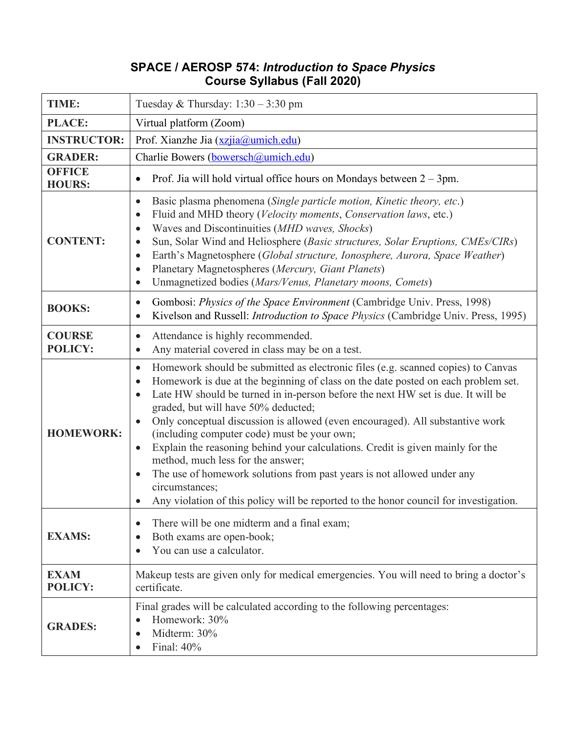## **SPACE / AEROSP 574:** *Introduction to Space Physics* **Course Syllabus (Fall 2020)**

| TIME:                           | Tuesday & Thursday: $1:30 - 3:30$ pm                                                                                                                                                                                                                                                                                                                                                                                                                                                                                                                                                                                                                                                                                                                                                                         |
|---------------------------------|--------------------------------------------------------------------------------------------------------------------------------------------------------------------------------------------------------------------------------------------------------------------------------------------------------------------------------------------------------------------------------------------------------------------------------------------------------------------------------------------------------------------------------------------------------------------------------------------------------------------------------------------------------------------------------------------------------------------------------------------------------------------------------------------------------------|
| PLACE:                          | Virtual platform (Zoom)                                                                                                                                                                                                                                                                                                                                                                                                                                                                                                                                                                                                                                                                                                                                                                                      |
| <b>INSTRUCTOR:</b>              | Prof. Xianzhe Jia (xzjia@umich.edu)                                                                                                                                                                                                                                                                                                                                                                                                                                                                                                                                                                                                                                                                                                                                                                          |
| <b>GRADER:</b>                  | Charlie Bowers (bowersch@umich.edu)                                                                                                                                                                                                                                                                                                                                                                                                                                                                                                                                                                                                                                                                                                                                                                          |
| <b>OFFICE</b><br><b>HOURS:</b>  | Prof. Jia will hold virtual office hours on Mondays between $2 - 3$ pm.<br>$\bullet$                                                                                                                                                                                                                                                                                                                                                                                                                                                                                                                                                                                                                                                                                                                         |
| <b>CONTENT:</b>                 | Basic plasma phenomena (Single particle motion, Kinetic theory, etc.)<br>$\bullet$<br>Fluid and MHD theory (Velocity moments, Conservation laws, etc.)<br>$\bullet$<br>Waves and Discontinuities (MHD waves, Shocks)<br>$\bullet$<br>Sun, Solar Wind and Heliosphere (Basic structures, Solar Eruptions, CMEs/CIRs)<br>Earth's Magnetosphere (Global structure, Ionosphere, Aurora, Space Weather)<br>$\bullet$<br>Planetary Magnetospheres (Mercury, Giant Planets)<br>$\bullet$<br>Unmagnetized bodies (Mars/Venus, Planetary moons, Comets)<br>$\bullet$                                                                                                                                                                                                                                                  |
| <b>BOOKS:</b>                   | Gombosi: Physics of the Space Environment (Cambridge Univ. Press, 1998)<br>$\bullet$<br>Kivelson and Russell: <i>Introduction to Space Physics</i> (Cambridge Univ. Press, 1995)<br>$\bullet$                                                                                                                                                                                                                                                                                                                                                                                                                                                                                                                                                                                                                |
| <b>COURSE</b><br><b>POLICY:</b> | Attendance is highly recommended.<br>$\bullet$<br>Any material covered in class may be on a test.<br>$\bullet$                                                                                                                                                                                                                                                                                                                                                                                                                                                                                                                                                                                                                                                                                               |
| <b>HOMEWORK:</b>                | Homework should be submitted as electronic files (e.g. scanned copies) to Canvas<br>$\bullet$<br>Homework is due at the beginning of class on the date posted on each problem set.<br>$\bullet$<br>Late HW should be turned in in-person before the next HW set is due. It will be<br>$\bullet$<br>graded, but will have 50% deducted;<br>Only conceptual discussion is allowed (even encouraged). All substantive work<br>(including computer code) must be your own;<br>Explain the reasoning behind your calculations. Credit is given mainly for the<br>$\bullet$<br>method, much less for the answer;<br>The use of homework solutions from past years is not allowed under any<br>$\bullet$<br>circumstances;<br>Any violation of this policy will be reported to the honor council for investigation. |
| <b>EXAMS:</b>                   | There will be one midterm and a final exam;<br>$\bullet$<br>Both exams are open-book;<br>$\bullet$<br>You can use a calculator.<br>$\bullet$                                                                                                                                                                                                                                                                                                                                                                                                                                                                                                                                                                                                                                                                 |
| <b>EXAM</b><br><b>POLICY:</b>   | Makeup tests are given only for medical emergencies. You will need to bring a doctor's<br>certificate.                                                                                                                                                                                                                                                                                                                                                                                                                                                                                                                                                                                                                                                                                                       |
| <b>GRADES:</b>                  | Final grades will be calculated according to the following percentages:<br>Homework: 30%<br>$\bullet$<br>Midterm: 30%<br>$\bullet$<br>Final: 40%<br>$\bullet$                                                                                                                                                                                                                                                                                                                                                                                                                                                                                                                                                                                                                                                |